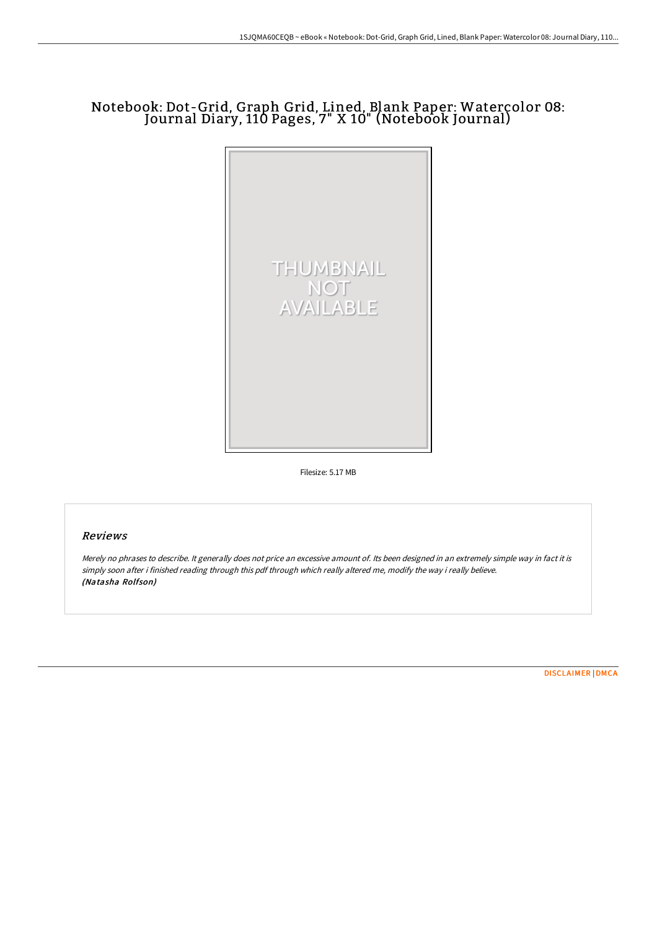# Notebook: Dot-Grid, Graph Grid, Lined, Blank Paper: Watercolor 08: Journal Diary, 110 Pages, 7" X 10" (Notebook Journal)



Filesize: 5.17 MB

### Reviews

Merely no phrases to describe. It generally does not price an excessive amount of. Its been designed in an extremely simple way in fact it is simply soon after i finished reading through this pdf through which really altered me, modify the way i really believe. (Natasha Rolfson)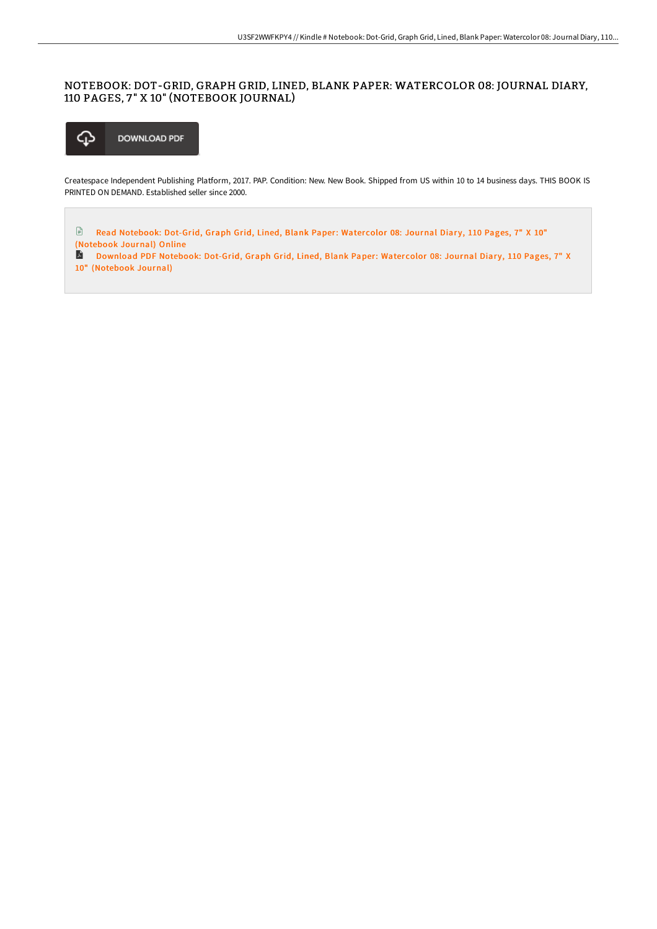## NOTEBOOK: DOT-GRID, GRAPH GRID, LINED, BLANK PAPER: WATERCOLOR 08: JOURNAL DIARY, 110 PAGES, 7 " X 10" (NOTEBOOK JOURNAL)



Createspace Independent Publishing Platform, 2017. PAP. Condition: New. New Book. Shipped from US within 10 to 14 business days. THIS BOOK IS PRINTED ON DEMAND. Established seller since 2000.

 $\begin{array}{c} \hline \Xi \end{array}$ Read Notebook: Dot-Grid, Graph Grid, Lined, Blank Paper: Watercolor 08: Journal Diary, 110 Pages, 7" X 10" [\(Notebook](http://www.bookdirs.com/notebook-dot-grid-graph-grid-lined-blank-paper-w-12.html) Journal) Online

Download PDF Notebook: Dot-Grid, Graph Grid, Lined, Blank Paper: Watercolor 08: Journal Diary, 110 Pages, 7" X 10" [\(Notebook](http://www.bookdirs.com/notebook-dot-grid-graph-grid-lined-blank-paper-w-12.html) Journal)